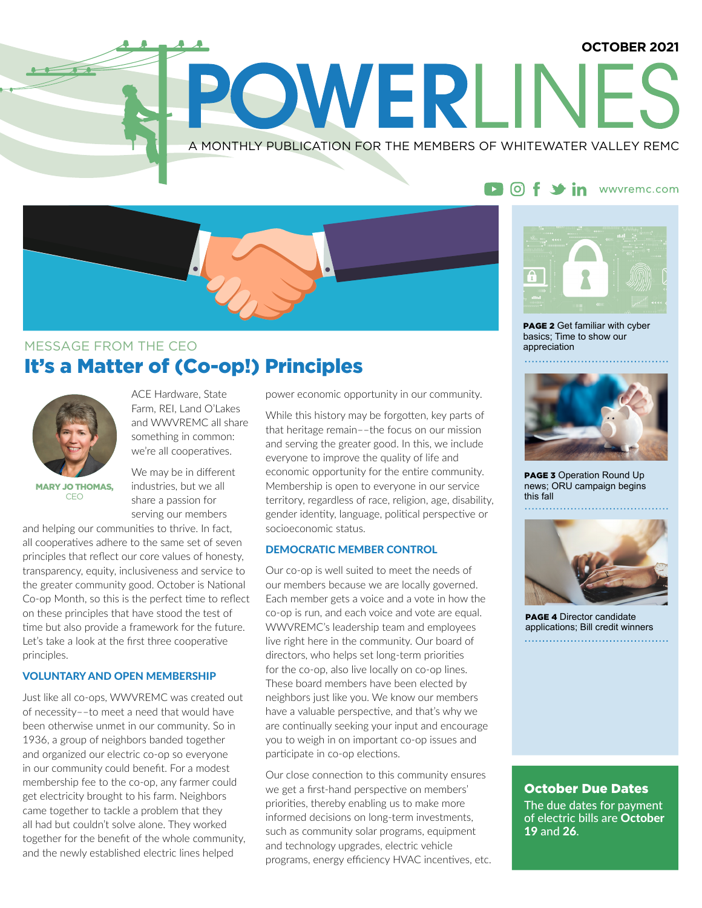# **OCTOBER 2021** POWERLIN A MONTHLY PUBLICATION FOR THE MEMBERS OF WHITEWATER VALLEY REMC



### It's a Matter of (Co-op!) Principles MESSAGE FROM THE CEO



ACE Hardware, State Farm, REI, Land O'Lakes and WWVREMC all share something in common: we're all cooperatives.

MARY JO THOMAS, CEO

We may be in different industries, but we all share a passion for serving our members

and helping our communities to thrive. In fact, all cooperatives adhere to the same set of seven principles that reflect our core values of honesty, transparency, equity, inclusiveness and service to the greater community good. October is National Co-op Month, so this is the perfect time to reflect on these principles that have stood the test of time but also provide a framework for the future. Let's take a look at the first three cooperative principles.

#### VOLUNTARY AND OPEN MEMBERSHIP

Just like all co-ops, WWVREMC was created out of necessity––to meet a need that would have been otherwise unmet in our community. So in 1936, a group of neighbors banded together and organized our electric co-op so everyone in our community could benefit. For a modest membership fee to the co-op, any farmer could get electricity brought to his farm. Neighbors came together to tackle a problem that they all had but couldn't solve alone. They worked together for the benefit of the whole community, and the newly established electric lines helped

power economic opportunity in our community.

While this history may be forgotten, key parts of that heritage remain––the focus on our mission and serving the greater good. In this, we include everyone to improve the quality of life and economic opportunity for the entire community. Membership is open to everyone in our service territory, regardless of race, religion, age, disability, gender identity, language, political perspective or socioeconomic status.

### DEMOCRATIC MEMBER CONTROL

Our co-op is well suited to meet the needs of our members because we are locally governed. Each member gets a voice and a vote in how the co-op is run, and each voice and vote are equal. WWVREMC's leadership team and employees live right here in the community. Our board of directors, who helps set long-term priorities for the co-op, also live locally on co-op lines. These board members have been elected by neighbors just like you. We know our members have a valuable perspective, and that's why we are continually seeking your input and encourage you to weigh in on important co-op issues and participate in co-op elections.

Our close connection to this community ensures we get a first-hand perspective on members' priorities, thereby enabling us to make more informed decisions on long-term investments, such as community solar programs, equipment and technology upgrades, electric vehicle programs, energy efficiency HVAC incentives, etc.

### DOf Sin www.remc.com



**PAGE 2** Get familiar with cyber basics; Time to show our appreciation



**PAGE 3** Operation Round Up news; ORU campaign begins this fall



PAGE 4 Director candidate applications; Bill credit winners 

### October Due Dates

The due dates for payment of electric bills are October 19 and 26.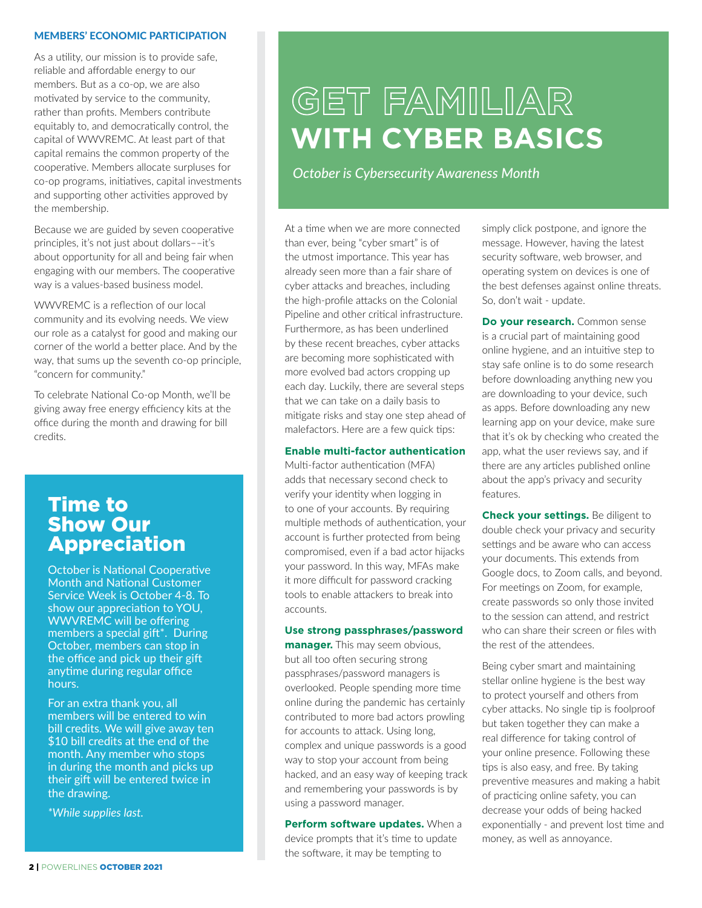#### MEMBERS' ECONOMIC PARTICIPATION

As a utility, our mission is to provide safe, reliable and affordable energy to our members. But as a co-op, we are also motivated by service to the community, rather than profits. Members contribute equitably to, and democratically control, the capital of WWVREMC. At least part of that capital remains the common property of the cooperative. Members allocate surpluses for co-op programs, initiatives, capital investments and supporting other activities approved by the membership.

Because we are guided by seven cooperative principles, it's not just about dollars––it's about opportunity for all and being fair when engaging with our members. The cooperative way is a values-based business model.

WWVREMC is a reflection of our local community and its evolving needs. We view our role as a catalyst for good and making our corner of the world a better place. And by the way, that sums up the seventh co-op principle, "concern for community."

To celebrate National Co-op Month, we'll be giving away free energy efficiency kits at the office during the month and drawing for bill credits.

### Time to Show Our Appreciation

October is National Cooperative Month and National Customer Service Week is October 4-8. To show our appreciation to YOU, WWVREMC will be offering members a special gift\*. During October, members can stop in the office and pick up their gift anytime during regular office hours.

For an extra thank you, all members will be entered to win bill credits. We will give away ten \$10 bill credits at the end of the month. Any member who stops in during the month and picks up their gift will be entered twice in the drawing.

*\*While supplies last.*

# **GET FAMILIAR WITH CYBER BASICS**

*October is Cybersecurity Awareness Month*

At a time when we are more connected than ever, being "cyber smart" is of the utmost importance. This year has already seen more than a fair share of cyber attacks and breaches, including the high-profile attacks on the Colonial Pipeline and other critical infrastructure. Furthermore, as has been underlined by these recent breaches, cyber attacks are becoming more sophisticated with more evolved bad actors cropping up each day. Luckily, there are several steps that we can take on a daily basis to mitigate risks and stay one step ahead of malefactors. Here are a few quick tips:

#### **Enable multi-factor authentication**

Multi-factor authentication (MFA) adds that necessary second check to verify your identity when logging in to one of your accounts. By requiring multiple methods of authentication, your account is further protected from being compromised, even if a bad actor hijacks your password. In this way, MFAs make it more difficult for password cracking tools to enable attackers to break into accounts.

#### **Use strong passphrases/password**

**manager.** This may seem obvious, but all too often securing strong passphrases/password managers is overlooked. People spending more time online during the pandemic has certainly contributed to more bad actors prowling for accounts to attack. Using long, complex and unique passwords is a good way to stop your account from being hacked, and an easy way of keeping track and remembering your passwords is by using a password manager.

**Perform software updates.** When a device prompts that it's time to update the software, it may be tempting to

simply click postpone, and ignore the message. However, having the latest security software, web browser, and operating system on devices is one of the best defenses against online threats. So, don't wait - update.

**Do your research.** Common sense is a crucial part of maintaining good online hygiene, and an intuitive step to stay safe online is to do some research before downloading anything new you are downloading to your device, such as apps. Before downloading any new learning app on your device, make sure that it's ok by checking who created the app, what the user reviews say, and if there are any articles published online about the app's privacy and security features.

**Check your settings.** Be diligent to double check your privacy and security settings and be aware who can access your documents. This extends from Google docs, to Zoom calls, and beyond. For meetings on Zoom, for example, create passwords so only those invited to the session can attend, and restrict who can share their screen or files with the rest of the attendees.

Being cyber smart and maintaining stellar online hygiene is the best way to protect yourself and others from cyber attacks. No single tip is foolproof but taken together they can make a real difference for taking control of your online presence. Following these tips is also easy, and free. By taking preventive measures and making a habit of practicing online safety, you can decrease your odds of being hacked exponentially - and prevent lost time and money, as well as annoyance.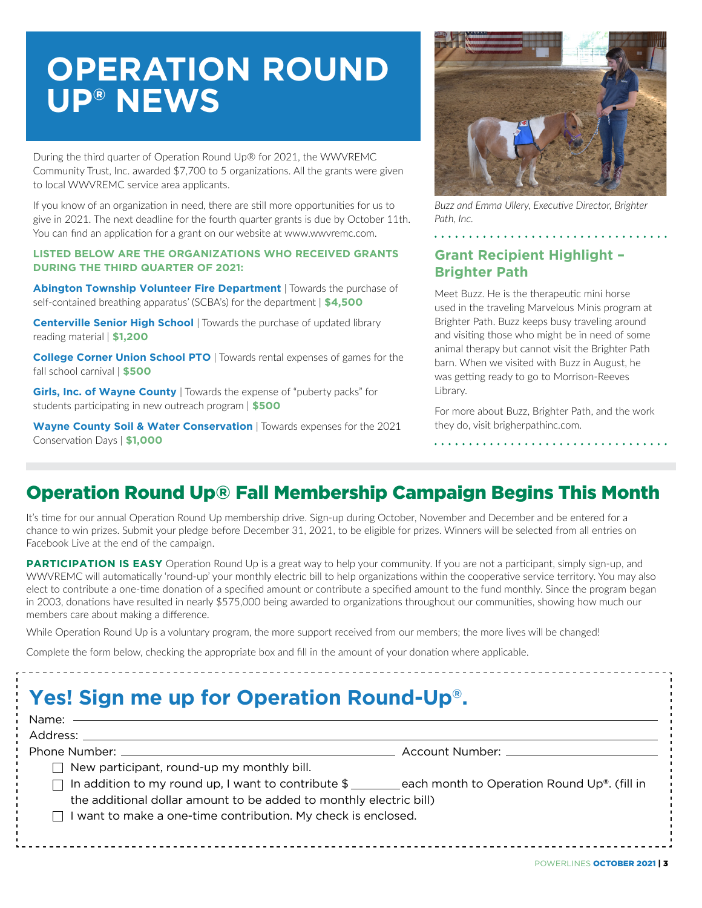# **OPERATION ROUND UP® NEWS**

During the third quarter of Operation Round Up® for 2021, the WWVREMC Community Trust, Inc. awarded \$7,700 to 5 organizations. All the grants were given to local WWVREMC service area applicants.

If you know of an organization in need, there are still more opportunities for us to give in 2021. The next deadline for the fourth quarter grants is due by October 11th. You can find an application for a grant on our website at www.wwvremc.com.

#### **LISTED BELOW ARE THE ORGANIZATIONS WHO RECEIVED GRANTS DURING THE THIRD QUARTER OF 2021:**

**Abington Township Volunteer Fire Department** | Towards the purchase of self-contained breathing apparatus' (SCBA's) for the department | **\$4,500**

**Centerville Senior High School** | Towards the purchase of updated library reading material | **\$1,200**

**College Corner Union School PTO** | Towards rental expenses of games for the fall school carnival | **\$500**

**Girls, Inc. of Wayne County** | Towards the expense of "puberty packs" for students participating in new outreach program | **\$500**

**Wayne County Soil & Water Conservation** | Towards expenses for the 2021 Conservation Days | **\$1,000**



*Buzz and Emma Ullery, Executive Director, Brighter Path, Inc.*

### **Grant Recipient Highlight – Brighter Path**

Meet Buzz. He is the therapeutic mini horse used in the traveling Marvelous Minis program at Brighter Path. Buzz keeps busy traveling around and visiting those who might be in need of some animal therapy but cannot visit the Brighter Path barn. When we visited with Buzz in August, he was getting ready to go to Morrison-Reeves Library.

For more about Buzz, Brighter Path, and the work they do, visit brigherpathinc.com.

### Operation Round Up® Fall Membership Campaign Begins This Month

It's time for our annual Operation Round Up membership drive. Sign-up during October, November and December and be entered for a chance to win prizes. Submit your pledge before December 31, 2021, to be eligible for prizes. Winners will be selected from all entries on Facebook Live at the end of the campaign.

**PARTICIPATION IS EASY** Operation Round Up is a great way to help your community. If you are not a participant, simply sign-up, and WWVREMC will automatically 'round-up' your monthly electric bill to help organizations within the cooperative service territory. You may also elect to contribute a one-time donation of a specified amount or contribute a specified amount to the fund monthly. Since the program began in 2003, donations have resulted in nearly \$575,000 being awarded to organizations throughout our communities, showing how much our members care about making a difference.

While Operation Round Up is a voluntary program, the more support received from our members; the more lives will be changed!

Complete the form below, checking the appropriate box and fill in the amount of your donation where applicable.

## **Yes! Sign me up for Operation Round-Up®.**

| Name: ——————————————                                                                                   |  |
|--------------------------------------------------------------------------------------------------------|--|
|                                                                                                        |  |
|                                                                                                        |  |
| $\Box$ New participant, round-up my monthly bill.                                                      |  |
| $\Box$ In addition to my round up, I want to contribute \$ each month to Operation Round Up®. (fill in |  |
| the additional dollar amount to be added to monthly electric bill)                                     |  |
| $\Box$ I want to make a one-time contribution. My check is enclosed.                                   |  |
|                                                                                                        |  |